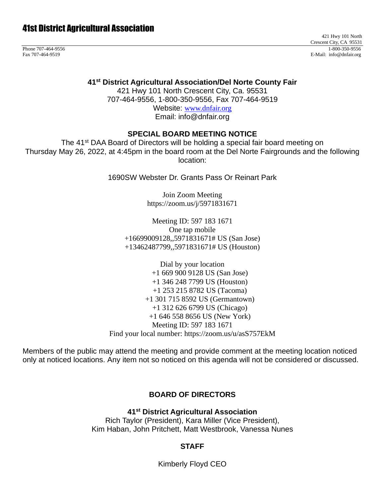421 Hwy 101 North Crescent City, CA 95531 Phone 707-464-9556 1-800-350-9556 1-800-350-9556 1-800-350-9556 1-800-350-9556 1-800-350-9556 1-800-350-9556 1-800-350-9556 1-800-350-9556 1-800-350-9556 1-800-350-9556 1-800-350-9556 1-800-350-9556 1-800-350-9556 1-800-35 E-Mail: info@dnfair.org

**41st District Agricultural Association/Del Norte County Fair**

421 Hwy 101 North Crescent City, Ca. 95531 707-464-9556, 1-800-350-9556, Fax 707-464-9519

Website: [www.dnfair.org](http://www.dnfair.org/) Email: info@dnfair.org

#### **SPECIAL BOARD MEETING NOTICE**

The 41<sup>st</sup> DAA Board of Directors will be holding a special fair board meeting on Thursday May 26, 2022, at 4:45pm in the board room at the Del Norte Fairgrounds and the following location:

1690SW Webster Dr. Grants Pass Or Reinart Park

Join Zoom Meeting https://zoom.us/j/5971831671

Meeting ID: 597 183 1671 One tap mobile +16699009128,,5971831671# US (San Jose) +13462487799,,5971831671# US (Houston)

Dial by your location +1 669 900 9128 US (San Jose) +1 346 248 7799 US (Houston) +1 253 215 8782 US (Tacoma) +1 301 715 8592 US (Germantown) +1 312 626 6799 US (Chicago) +1 646 558 8656 US (New York) Meeting ID: 597 183 1671 Find your local number: https://zoom.us/u/asS757EkM

Members of the public may attend the meeting and provide comment at the meeting location noticed only at noticed locations. Any item not so noticed on this agenda will not be considered or discussed.

### **BOARD OF DIRECTORS**

**41st District Agricultural Association** Rich Taylor (President), Kara Miller (Vice President), Kim Haban, John Pritchett, Matt Westbrook, Vanessa Nunes

### **STAFF**

Kimberly Floyd CEO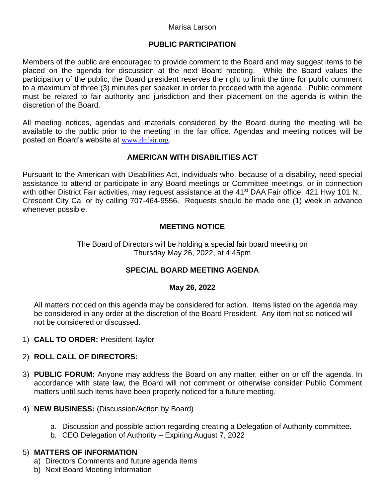#### Marisa Larson

### **PUBLIC PARTICIPATION**

Members of the public are encouraged to provide comment to the Board and may suggest items to be placed on the agenda for discussion at the next Board meeting. While the Board values the participation of the public, the Board president reserves the right to limit the time for public comment to a maximum of three (3) minutes per speaker in order to proceed with the agenda. Public comment must be related to fair authority and jurisdiction and their placement on the agenda is within the discretion of the Board.

All meeting notices, agendas and materials considered by the Board during the meeting will be available to the public prior to the meeting in the fair office. Agendas and meeting notices will be posted on Board's website at [www.dnfair.org](http://www.dnfair.org/).

### **AMERICAN WITH DISABILITIES ACT**

Pursuant to the American with Disabilities Act, individuals who, because of a disability, need special assistance to attend or participate in any Board meetings or Committee meetings, or in connection with other District Fair activities, may request assistance at the 41<sup>st</sup> DAA Fair office, 421 Hwy 101 N., Crescent City Ca. or by calling 707-464-9556. Requests should be made one (1) week in advance whenever possible.

# **MEETING NOTICE**

The Board of Directors will be holding a special fair board meeting on Thursday May 26, 2022, at 4:45pm

### **SPECIAL BOARD MEETING AGENDA**

### **May 26, 2022**

All matters noticed on this agenda may be considered for action. Items listed on the agenda may be considered in any order at the discretion of the Board President. Any item not so noticed will not be considered or discussed.

1) **CALL TO ORDER:** President Taylor

### 2) **ROLL CALL OF DIRECTORS:**

- 3) **PUBLIC FORUM:** Anyone may address the Board on any matter, either on or off the agenda. In accordance with state law, the Board will not comment or otherwise consider Public Comment matters until such items have been properly noticed for a future meeting.
- 4) **NEW BUSINESS:** (Discussion/Action by Board)
	- a. Discussion and possible action regarding creating a Delegation of Authority committee.
	- b. CEO Delegation of Authority Expiring August 7, 2022

### 5) **MATTERS OF INFORMATION**

- a) Directors Comments and future agenda items
- b) Next Board Meeting Information